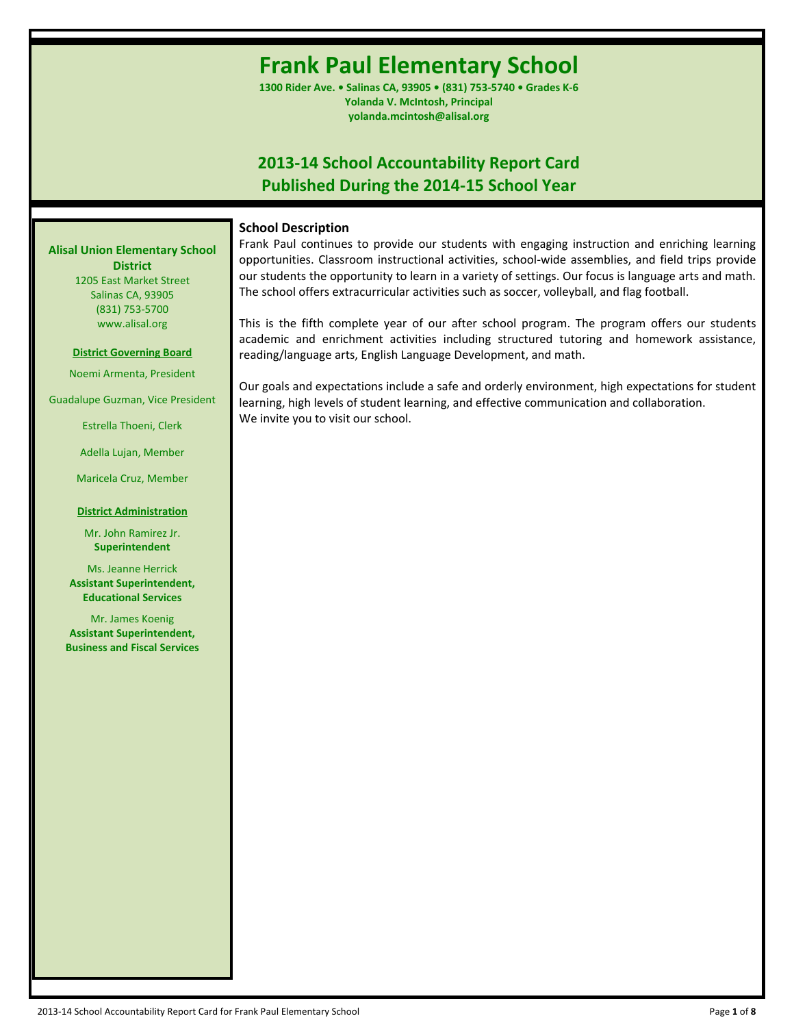# **Frank Paul Elementary School**

**1300 Rider Ave. • Salinas CA, 93905 • (831) 753-5740 • Grades K-6 Yolanda V. McIntosh, Principal yolanda.mcintosh@alisal.org**

# **2013-14 School Accountability Report Card Published During the 2014-15 School Year**

# **School Description**

Frank Paul continues to provide our students with engaging instruction and enriching learning opportunities. Classroom instructional activities, school-wide assemblies, and field trips provide our students the opportunity to learn in a variety of settings. Our focus is language arts and math. The school offers extracurricular activities such as soccer, volleyball, and flag football.

This is the fifth complete year of our after school program. The program offers our students academic and enrichment activities including structured tutoring and homework assistance, reading/language arts, English Language Development, and math.

Our goals and expectations include a safe and orderly environment, high expectations for student learning, high levels of student learning, and effective communication and collaboration. We invite you to visit our school.

**Alisal Union Elementary School District** 1205 East Market Street

Salinas CA, 93905 (831) 753-5700 www.alisal.org

## **District Governing Board**

Noemi Armenta, President

Guadalupe Guzman, Vice President

Estrella Thoeni, Clerk

Adella Lujan, Member

Maricela Cruz, Member

# **District Administration**

Mr. John Ramirez Jr. **Superintendent**

Ms. Jeanne Herrick **Assistant Superintendent, Educational Services**

Mr. James Koenig **Assistant Superintendent, Business and Fiscal Services**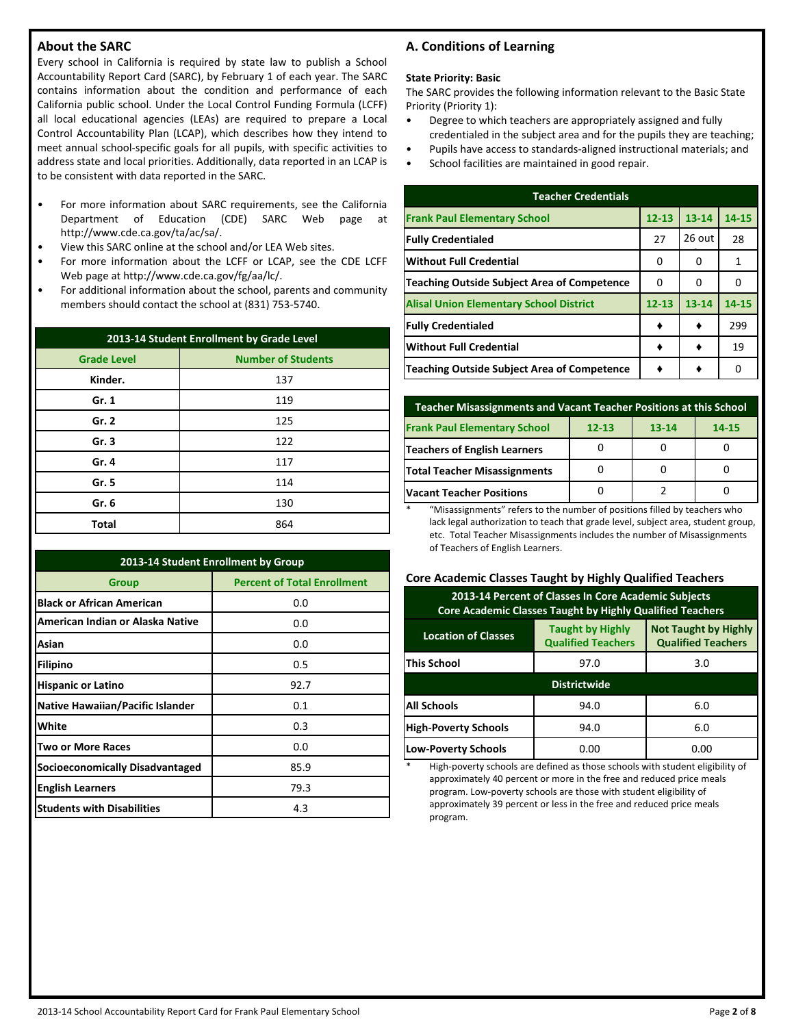# **About the SARC**

Every school in California is required by state law to publish a School Accountability Report Card (SARC), by February 1 of each year. The SARC contains information about the condition and performance of each California public school. Under the Local Control Funding Formula (LCFF) all local educational agencies (LEAs) are required to prepare a Local Control Accountability Plan (LCAP), which describes how they intend to meet annual school-specific goals for all pupils, with specific activities to address state and local priorities. Additionally, data reported in an LCAP is to be consistent with data reported in the SARC.

- For more information about SARC requirements, see the California Department of Education (CDE) SARC Web page at http://www.cde.ca.gov/ta/ac/sa/.
- View this SARC online at the school and/or LEA Web sites.
- For more information about the LCFF or LCAP, see the CDE LCFF Web page at http://www.cde.ca.gov/fg/aa/lc/.
- For additional information about the school, parents and community members should contact the school at (831) 753-5740.

| 2013-14 Student Enrollment by Grade Level |                           |  |  |  |  |
|-------------------------------------------|---------------------------|--|--|--|--|
| <b>Grade Level</b>                        | <b>Number of Students</b> |  |  |  |  |
| Kinder.                                   | 137                       |  |  |  |  |
| Gr. 1                                     | 119                       |  |  |  |  |
| Gr. 2                                     | 125                       |  |  |  |  |
| Gr.3                                      | 122                       |  |  |  |  |
| Gr. 4                                     | 117                       |  |  |  |  |
| Gr. 5                                     | 114                       |  |  |  |  |
| Gr. 6                                     | 130                       |  |  |  |  |
| <b>Total</b>                              | 864                       |  |  |  |  |

| 2013-14 Student Enrollment by Group     |                                    |  |  |  |  |
|-----------------------------------------|------------------------------------|--|--|--|--|
| <b>Group</b>                            | <b>Percent of Total Enrollment</b> |  |  |  |  |
| <b>Black or African American</b>        | 0.0                                |  |  |  |  |
| American Indian or Alaska Native        | 0.0                                |  |  |  |  |
| Asian                                   | 0.0                                |  |  |  |  |
| <b>Filipino</b>                         | 0.5                                |  |  |  |  |
| <b>Hispanic or Latino</b>               | 92.7                               |  |  |  |  |
| <b>Native Hawaiian/Pacific Islander</b> | 0.1                                |  |  |  |  |
| White                                   | 0.3                                |  |  |  |  |
| <b>Two or More Races</b>                | 0.0                                |  |  |  |  |
| <b>Socioeconomically Disadvantaged</b>  | 85.9                               |  |  |  |  |
| <b>English Learners</b>                 | 79.3                               |  |  |  |  |
| <b>Students with Disabilities</b>       | 4.3                                |  |  |  |  |

# **A. Conditions of Learning**

#### **State Priority: Basic**

The SARC provides the following information relevant to the Basic State Priority (Priority 1):

- Degree to which teachers are appropriately assigned and fully credentialed in the subject area and for the pupils they are teaching;
- Pupils have access to standards-aligned instructional materials; and
- School facilities are maintained in good repair.

| <b>Teacher Credentials</b>                         |           |           |       |  |  |  |  |
|----------------------------------------------------|-----------|-----------|-------|--|--|--|--|
| <b>Frank Paul Elementary School</b>                | $12 - 13$ | $13 - 14$ | 14-15 |  |  |  |  |
| <b>Fully Credentialed</b>                          | 27        | $26$ out  | 28    |  |  |  |  |
| <b>Without Full Credential</b>                     | 0         | 0         | 1     |  |  |  |  |
| <b>Teaching Outside Subject Area of Competence</b> | O         | 0         | 0     |  |  |  |  |
| <b>Alisal Union Elementary School District</b>     | $12 - 13$ | $13 - 14$ | 14-15 |  |  |  |  |
| <b>Fully Credentialed</b>                          |           |           | 299   |  |  |  |  |
| <b>Without Full Credential</b>                     |           |           | 19    |  |  |  |  |
| Teaching Outside Subject Area of Competence        |           |           | n     |  |  |  |  |

| <b>Teacher Misassignments and Vacant Teacher Positions at this School</b> |  |  |  |  |  |  |  |
|---------------------------------------------------------------------------|--|--|--|--|--|--|--|
| <b>Frank Paul Elementary School</b><br>$12 - 13$<br>$13 - 14$<br>14-15    |  |  |  |  |  |  |  |
| <b>Teachers of English Learners</b>                                       |  |  |  |  |  |  |  |
| <b>Total Teacher Misassignments</b>                                       |  |  |  |  |  |  |  |
| <b>Vacant Teacher Positions</b>                                           |  |  |  |  |  |  |  |

\* "Misassignments" refers to the number of positions filled by teachers who lack legal authorization to teach that grade level, subject area, student group, etc. Total Teacher Misassignments includes the number of Misassignments of Teachers of English Learners.

## **Core Academic Classes Taught by Highly Qualified Teachers**

| 2013-14 Percent of Classes In Core Academic Subjects<br>Core Academic Classes Taught by Highly Qualified Teachers                              |                     |      |  |  |  |  |
|------------------------------------------------------------------------------------------------------------------------------------------------|---------------------|------|--|--|--|--|
| <b>Not Taught by Highly</b><br><b>Taught by Highly</b><br><b>Location of Classes</b><br><b>Qualified Teachers</b><br><b>Qualified Teachers</b> |                     |      |  |  |  |  |
| <b>This School</b><br>97.0<br>3.0                                                                                                              |                     |      |  |  |  |  |
|                                                                                                                                                | <b>Districtwide</b> |      |  |  |  |  |
| <b>All Schools</b>                                                                                                                             | 94.0<br>6.0         |      |  |  |  |  |
| <b>High-Poverty Schools</b><br>6.0<br>94.0                                                                                                     |                     |      |  |  |  |  |
| <b>Low-Poverty Schools</b>                                                                                                                     | 0.00                | 0.00 |  |  |  |  |

High-poverty schools are defined as those schools with student eligibility of approximately 40 percent or more in the free and reduced price meals program. Low-poverty schools are those with student eligibility of approximately 39 percent or less in the free and reduced price meals program.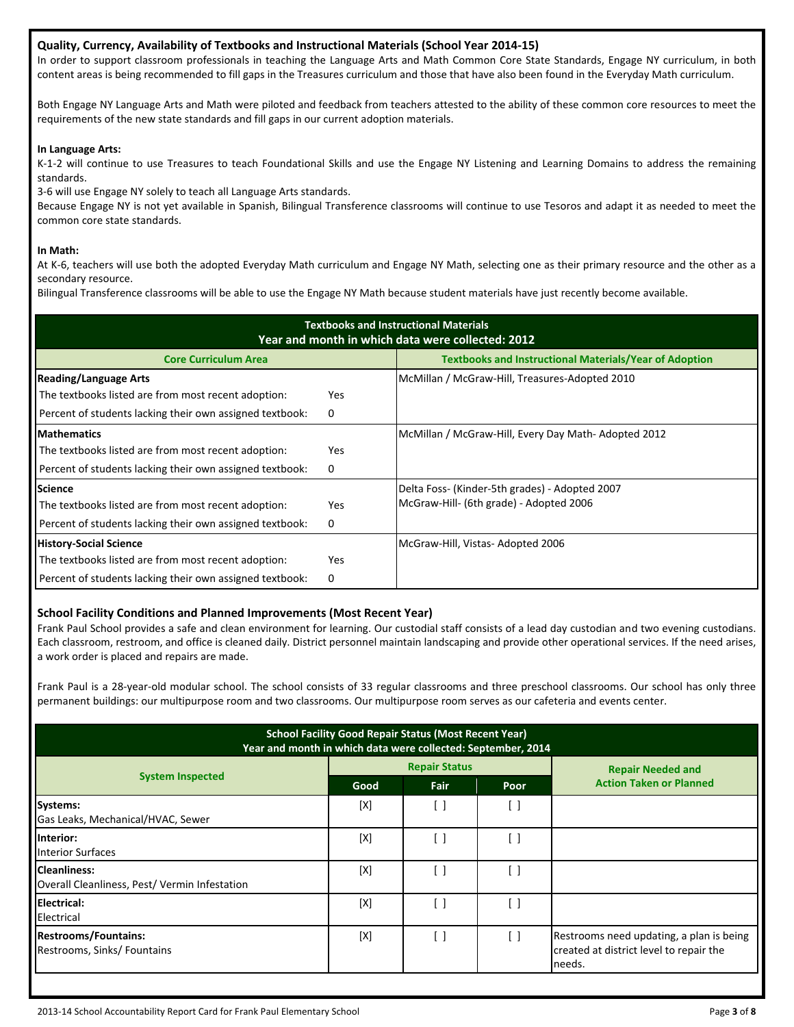# **Quality, Currency, Availability of Textbooks and Instructional Materials (School Year 2014-15)**

In order to support classroom professionals in teaching the Language Arts and Math Common Core State Standards, Engage NY curriculum, in both content areas is being recommended to fill gaps in the Treasures curriculum and those that have also been found in the Everyday Math curriculum.

Both Engage NY Language Arts and Math were piloted and feedback from teachers attested to the ability of these common core resources to meet the requirements of the new state standards and fill gaps in our current adoption materials.

## **In Language Arts:**

K-1-2 will continue to use Treasures to teach Foundational Skills and use the Engage NY Listening and Learning Domains to address the remaining standards.

3-6 will use Engage NY solely to teach all Language Arts standards.

Because Engage NY is not yet available in Spanish, Bilingual Transference classrooms will continue to use Tesoros and adapt it as needed to meet the common core state standards.

## **In Math:**

At K-6, teachers will use both the adopted Everyday Math curriculum and Engage NY Math, selecting one as their primary resource and the other as a secondary resource.

Bilingual Transference classrooms will be able to use the Engage NY Math because student materials have just recently become available.

| <b>Textbooks and Instructional Materials</b><br>Year and month in which data were collected: 2012 |     |                                                     |  |  |  |  |  |
|---------------------------------------------------------------------------------------------------|-----|-----------------------------------------------------|--|--|--|--|--|
| <b>Textbooks and Instructional Materials/Year of Adoption</b><br><b>Core Curriculum Area</b>      |     |                                                     |  |  |  |  |  |
| <b>Reading/Language Arts</b>                                                                      |     | McMillan / McGraw-Hill, Treasures-Adopted 2010      |  |  |  |  |  |
| The textbooks listed are from most recent adoption:                                               | Yes |                                                     |  |  |  |  |  |
| Percent of students lacking their own assigned textbook:                                          | 0   |                                                     |  |  |  |  |  |
| <b>Mathematics</b>                                                                                |     | McMillan / McGraw-Hill, Every Day Math-Adopted 2012 |  |  |  |  |  |
| The textbooks listed are from most recent adoption:                                               | Yes |                                                     |  |  |  |  |  |
| Percent of students lacking their own assigned textbook:                                          | 0   |                                                     |  |  |  |  |  |
| <b>Science</b>                                                                                    |     | Delta Foss- (Kinder-5th grades) - Adopted 2007      |  |  |  |  |  |
| The textbooks listed are from most recent adoption:                                               | Yes | McGraw-Hill- (6th grade) - Adopted 2006             |  |  |  |  |  |
| Percent of students lacking their own assigned textbook:                                          | 0   |                                                     |  |  |  |  |  |
| <b>History-Social Science</b>                                                                     |     | McGraw-Hill, Vistas- Adopted 2006                   |  |  |  |  |  |
| The textbooks listed are from most recent adoption:                                               | Yes |                                                     |  |  |  |  |  |
| Percent of students lacking their own assigned textbook:                                          | 0   |                                                     |  |  |  |  |  |

# **School Facility Conditions and Planned Improvements (Most Recent Year)**

Frank Paul School provides a safe and clean environment for learning. Our custodial staff consists of a lead day custodian and two evening custodians. Each classroom, restroom, and office is cleaned daily. District personnel maintain landscaping and provide other operational services. If the need arises, a work order is placed and repairs are made.

Frank Paul is a 28-year-old modular school. The school consists of 33 regular classrooms and three preschool classrooms. Our school has only three permanent buildings: our multipurpose room and two classrooms. Our multipurpose room serves as our cafeteria and events center.

| <b>School Facility Good Repair Status (Most Recent Year)</b><br>Year and month in which data were collected: September, 2014 |      |                      |                   |                                                                                               |  |  |
|------------------------------------------------------------------------------------------------------------------------------|------|----------------------|-------------------|-----------------------------------------------------------------------------------------------|--|--|
|                                                                                                                              |      | <b>Repair Status</b> |                   | <b>Repair Needed and</b>                                                                      |  |  |
| <b>System Inspected</b>                                                                                                      | Good | Fair                 | Poor              | <b>Action Taken or Planned</b>                                                                |  |  |
| <b>Systems:</b><br>Gas Leaks, Mechanical/HVAC, Sewer                                                                         | [X]  | $\Box$               | [ ]               |                                                                                               |  |  |
| Interior:<br><b>Interior Surfaces</b>                                                                                        | [X]  | i 1                  | [ ]               |                                                                                               |  |  |
| <b>Cleanliness:</b><br>Overall Cleanliness, Pest/ Vermin Infestation                                                         | [X]  | - 1                  | $\lceil \ \rceil$ |                                                                                               |  |  |
| Electrical:<br>Electrical                                                                                                    | [X]  | - 1                  | [ ]               |                                                                                               |  |  |
| <b>Restrooms/Fountains:</b><br>Restrooms, Sinks/Fountains                                                                    | [X]  | [ ]                  | $[\ ]$            | Restrooms need updating, a plan is being<br>created at district level to repair the<br>needs. |  |  |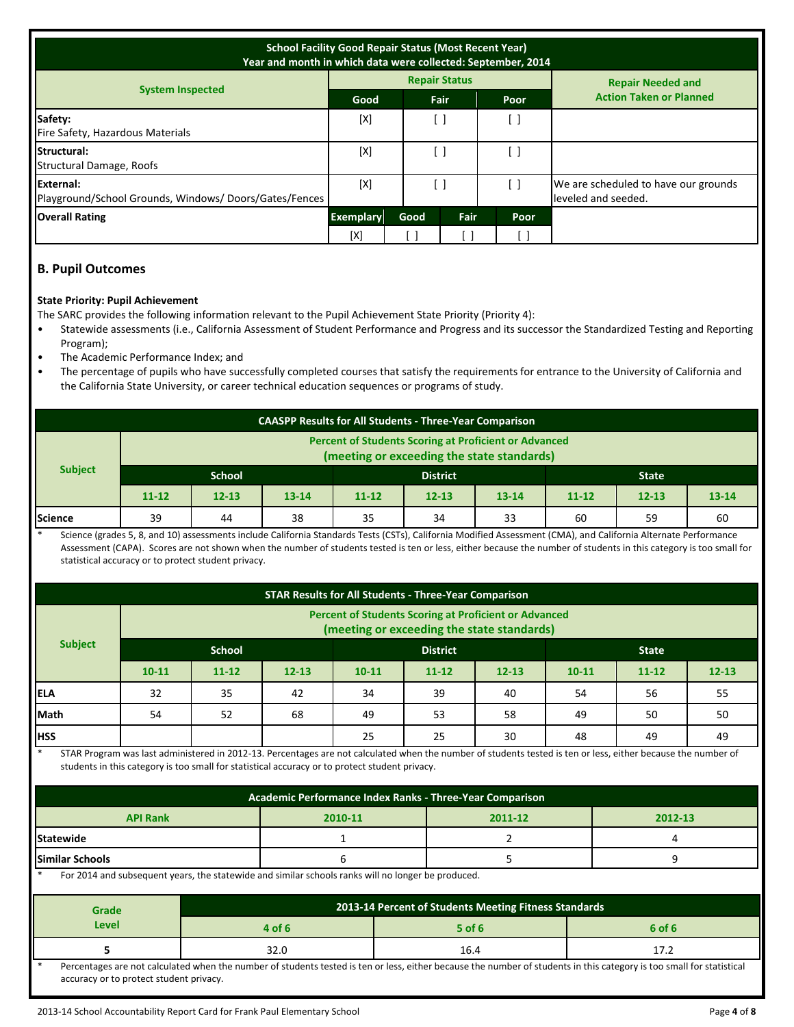| <b>School Facility Good Repair Status (Most Recent Year)</b><br>Year and month in which data were collected: September, 2014 |                  |      |                      |                      |                                                             |  |
|------------------------------------------------------------------------------------------------------------------------------|------------------|------|----------------------|----------------------|-------------------------------------------------------------|--|
|                                                                                                                              |                  |      | <b>Repair Status</b> |                      | <b>Repair Needed and</b>                                    |  |
| <b>System Inspected</b>                                                                                                      | Good             |      | Fair                 | Poor                 | <b>Action Taken or Planned</b>                              |  |
| Safety:<br>Fire Safety, Hazardous Materials                                                                                  | [X]              |      |                      | L.                   |                                                             |  |
| Structural:<br>Structural Damage, Roofs                                                                                      | [X]              |      |                      |                      |                                                             |  |
| External:<br>Playground/School Grounds, Windows/Doors/Gates/Fences                                                           | [X]              |      | [ ]                  |                      | We are scheduled to have our grounds<br>leveled and seeded. |  |
| <b>Overall Rating</b>                                                                                                        | <b>Exemplary</b> | Good | <b>Fair</b>          | Poor                 |                                                             |  |
|                                                                                                                              | [X]              |      |                      | $\ddot{\phantom{0}}$ |                                                             |  |

# **B. Pupil Outcomes**

## **State Priority: Pupil Achievement**

The SARC provides the following information relevant to the Pupil Achievement State Priority (Priority 4):

- Statewide assessments (i.e., California Assessment of Student Performance and Progress and its successor the Standardized Testing and Reporting Program);
- The Academic Performance Index; and
- The percentage of pupils who have successfully completed courses that satisfy the requirements for entrance to the University of California and the California State University, or career technical education sequences or programs of study.

| <b>CAASPP Results for All Students - Three-Year Comparison</b>                                             |                                                  |           |           |           |           |           |           |           |           |
|------------------------------------------------------------------------------------------------------------|--------------------------------------------------|-----------|-----------|-----------|-----------|-----------|-----------|-----------|-----------|
| <b>Percent of Students Scoring at Proficient or Advanced</b><br>(meeting or exceeding the state standards) |                                                  |           |           |           |           |           |           |           |           |
| <b>Subject</b>                                                                                             | <b>School</b><br><b>District</b><br><b>State</b> |           |           |           |           |           |           |           |           |
|                                                                                                            | $11 - 12$                                        | $12 - 13$ | $13 - 14$ | $11 - 12$ | $12 - 13$ | $13 - 14$ | $11 - 12$ | $12 - 13$ | $13 - 14$ |
| <b>Science</b>                                                                                             | 39                                               | 44        | 38        | 35        | 34        | 33        | 60        | 59        | 60        |

Science (grades 5, 8, and 10) assessments include California Standards Tests (CSTs), California Modified Assessment (CMA), and California Alternate Performance Assessment (CAPA). Scores are not shown when the number of students tested is ten or less, either because the number of students in this category is too small for statistical accuracy or to protect student privacy.

| <b>STAR Results for All Students - Three-Year Comparison</b> |                                                                                                            |           |           |           |           |              |           |           |           |
|--------------------------------------------------------------|------------------------------------------------------------------------------------------------------------|-----------|-----------|-----------|-----------|--------------|-----------|-----------|-----------|
|                                                              | <b>Percent of Students Scoring at Proficient or Advanced</b><br>(meeting or exceeding the state standards) |           |           |           |           |              |           |           |           |
| <b>Subject</b>                                               | <b>School</b><br><b>District</b>                                                                           |           |           |           |           | <b>State</b> |           |           |           |
|                                                              | $10 - 11$                                                                                                  | $11 - 12$ | $12 - 13$ | $10 - 11$ | $11 - 12$ | $12 - 13$    | $10 - 11$ | $11 - 12$ | $12 - 13$ |
| <b>IELA</b>                                                  | 32                                                                                                         | 35        | 42        | 34        | 39        | 40           | 54        | 56        | 55        |
| Math                                                         | 54                                                                                                         | 52        | 68        | 49        | 53        | 58           | 49        | 50        | 50        |
| <b>IHSS</b>                                                  |                                                                                                            |           |           | 25        | 25        | 30           | 48        | 49        | 49        |

STAR Program was last administered in 2012-13. Percentages are not calculated when the number of students tested is ten or less, either because the number of students in this category is too small for statistical accuracy or to protect student privacy.

| Academic Performance Index Ranks - Three-Year Comparison                                         |  |  |  |  |  |  |
|--------------------------------------------------------------------------------------------------|--|--|--|--|--|--|
| <b>API Rank</b><br>2012-13<br>2011-12<br>2010-11                                                 |  |  |  |  |  |  |
| <b>Statewide</b>                                                                                 |  |  |  |  |  |  |
| <b>Similar Schools</b>                                                                           |  |  |  |  |  |  |
| For 2014 and subsequent vears the statewide and similar schools ranks will no longer be produced |  |  |  |  |  |  |

and subsequent years, the statewide and similar schools ranks will no longer be produced.

| Grade | 2013-14 Percent of Students Meeting Fitness Standards                                                                                                                |          |        |  |  |  |
|-------|----------------------------------------------------------------------------------------------------------------------------------------------------------------------|----------|--------|--|--|--|
| Level | 4 of 6                                                                                                                                                               | $5$ of 6 | 6 of 6 |  |  |  |
|       |                                                                                                                                                                      | 16.4     |        |  |  |  |
|       | Dercentages are not calculated when the number of students tested is ten or less either because the number of students in this category is too small for statistical |          |        |  |  |  |

of students tested is ten or less, eit accuracy or to protect student privacy.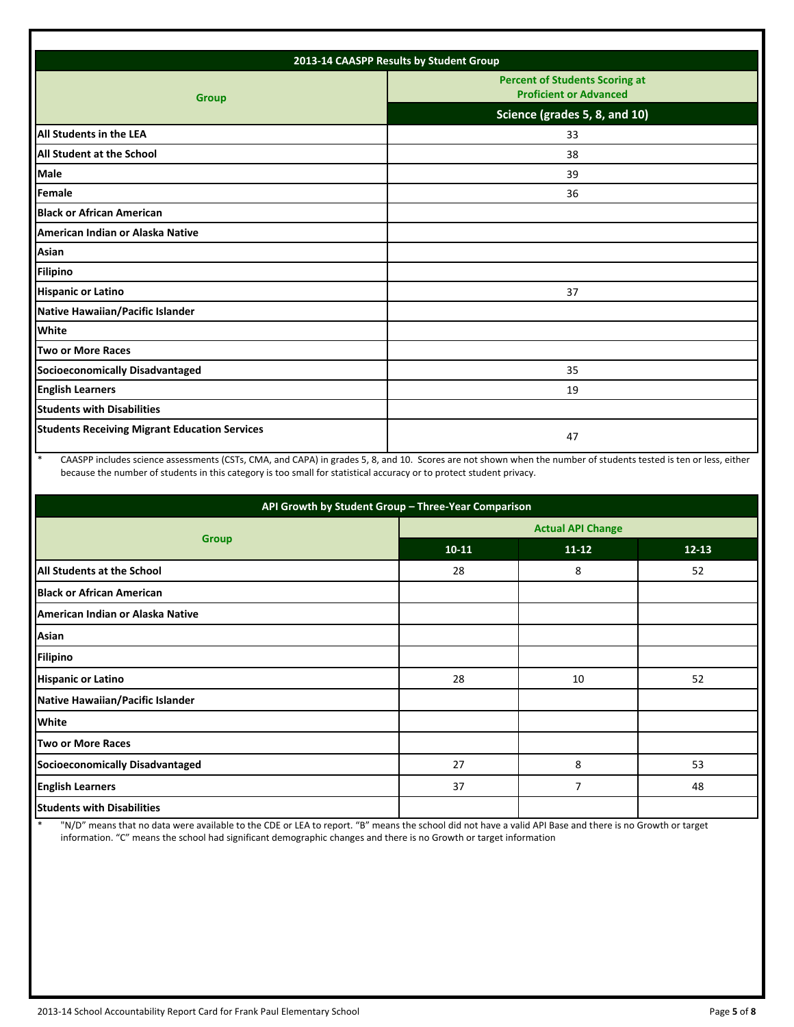| 2013-14 CAASPP Results by Student Group              |                                                                        |  |  |  |
|------------------------------------------------------|------------------------------------------------------------------------|--|--|--|
| <b>Group</b>                                         | <b>Percent of Students Scoring at</b><br><b>Proficient or Advanced</b> |  |  |  |
|                                                      | Science (grades 5, 8, and 10)                                          |  |  |  |
| <b>All Students in the LEA</b>                       | 33                                                                     |  |  |  |
| <b>All Student at the School</b>                     | 38                                                                     |  |  |  |
| Male                                                 | 39                                                                     |  |  |  |
| Female                                               | 36                                                                     |  |  |  |
| <b>Black or African American</b>                     |                                                                        |  |  |  |
| American Indian or Alaska Native                     |                                                                        |  |  |  |
| Asian                                                |                                                                        |  |  |  |
| <b>Filipino</b>                                      |                                                                        |  |  |  |
| <b>Hispanic or Latino</b>                            | 37                                                                     |  |  |  |
| Native Hawaiian/Pacific Islander                     |                                                                        |  |  |  |
| White                                                |                                                                        |  |  |  |
| <b>Two or More Races</b>                             |                                                                        |  |  |  |
| <b>Socioeconomically Disadvantaged</b>               | 35                                                                     |  |  |  |
| <b>English Learners</b>                              | 19                                                                     |  |  |  |
| <b>Students with Disabilities</b>                    |                                                                        |  |  |  |
| <b>Students Receiving Migrant Education Services</b> | 47                                                                     |  |  |  |

\* CAASPP includes science assessments (CSTs, CMA, and CAPA) in grades 5, 8, and 10. Scores are not shown when the number of students tested is ten or less, either because the number of students in this category is too small for statistical accuracy or to protect student privacy.

| API Growth by Student Group - Three-Year Comparison |                          |           |           |  |  |  |
|-----------------------------------------------------|--------------------------|-----------|-----------|--|--|--|
| <b>Group</b>                                        | <b>Actual API Change</b> |           |           |  |  |  |
|                                                     | $10 - 11$                | $11 - 12$ | $12 - 13$ |  |  |  |
| <b>All Students at the School</b>                   | 28                       | 8         | 52        |  |  |  |
| <b>Black or African American</b>                    |                          |           |           |  |  |  |
| American Indian or Alaska Native                    |                          |           |           |  |  |  |
| Asian                                               |                          |           |           |  |  |  |
| <b>Filipino</b>                                     |                          |           |           |  |  |  |
| <b>Hispanic or Latino</b>                           | 28                       | 10        | 52        |  |  |  |
| Native Hawaiian/Pacific Islander                    |                          |           |           |  |  |  |
| <b>White</b>                                        |                          |           |           |  |  |  |
| <b>Two or More Races</b>                            |                          |           |           |  |  |  |
| Socioeconomically Disadvantaged                     | 27                       | 8         | 53        |  |  |  |
| <b>English Learners</b>                             | 37                       | 7         | 48        |  |  |  |
| <b>Students with Disabilities</b>                   |                          |           |           |  |  |  |

\* "N/D" means that no data were available to the CDE or LEA to report. "B" means the school did not have a valid API Base and there is no Growth or target information. "C" means the school had significant demographic changes and there is no Growth or target information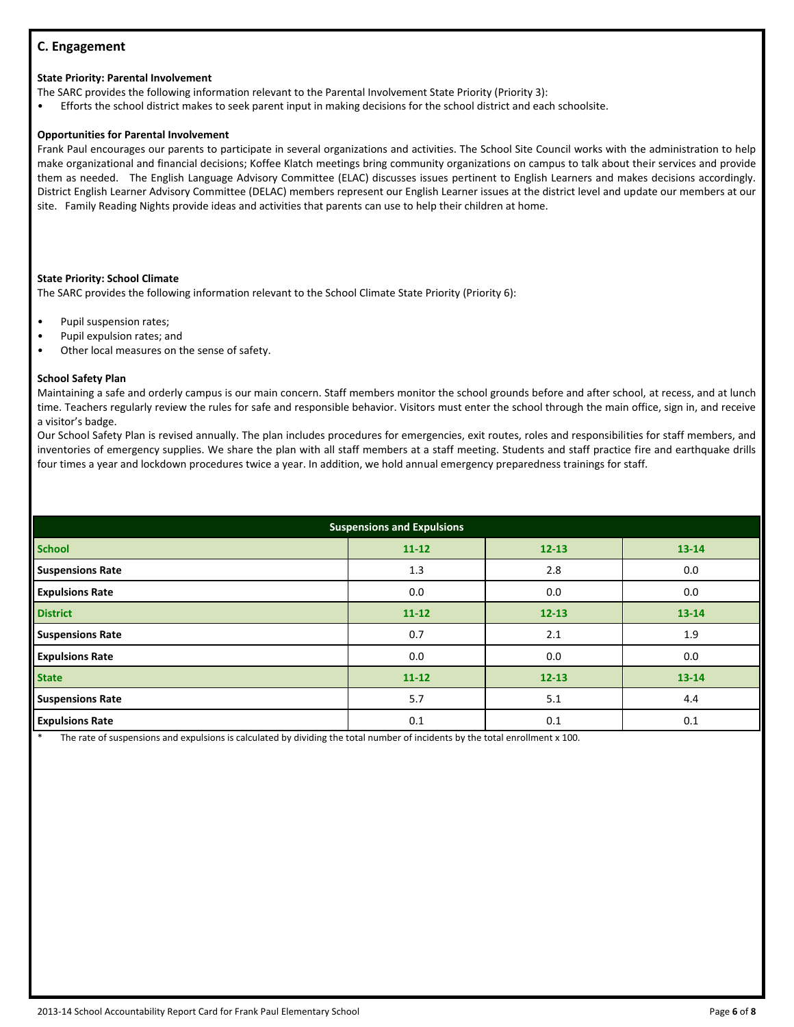# **C. Engagement**

#### **State Priority: Parental Involvement**

The SARC provides the following information relevant to the Parental Involvement State Priority (Priority 3):

• Efforts the school district makes to seek parent input in making decisions for the school district and each schoolsite.

#### **Opportunities for Parental Involvement**

Frank Paul encourages our parents to participate in several organizations and activities. The School Site Council works with the administration to help make organizational and financial decisions; Koffee Klatch meetings bring community organizations on campus to talk about their services and provide them as needed. The English Language Advisory Committee (ELAC) discusses issues pertinent to English Learners and makes decisions accordingly. District English Learner Advisory Committee (DELAC) members represent our English Learner issues at the district level and update our members at our site. Family Reading Nights provide ideas and activities that parents can use to help their children at home.

#### **State Priority: School Climate**

The SARC provides the following information relevant to the School Climate State Priority (Priority 6):

- Pupil suspension rates;
- Pupil expulsion rates; and
- Other local measures on the sense of safety.

#### **School Safety Plan**

Maintaining a safe and orderly campus is our main concern. Staff members monitor the school grounds before and after school, at recess, and at lunch time. Teachers regularly review the rules for safe and responsible behavior. Visitors must enter the school through the main office, sign in, and receive a visitor's badge.

Our School Safety Plan is revised annually. The plan includes procedures for emergencies, exit routes, roles and responsibilities for staff members, and inventories of emergency supplies. We share the plan with all staff members at a staff meeting. Students and staff practice fire and earthquake drills four times a year and lockdown procedures twice a year. In addition, we hold annual emergency preparedness trainings for staff.

| <b>Suspensions and Expulsions</b> |           |           |           |  |  |
|-----------------------------------|-----------|-----------|-----------|--|--|
| <b>School</b>                     | $11 - 12$ | $12 - 13$ | $13 - 14$ |  |  |
| <b>Suspensions Rate</b>           | 1.3       | 2.8       | 0.0       |  |  |
| <b>Expulsions Rate</b>            | 0.0       | 0.0       | 0.0       |  |  |
| <b>District</b>                   | $11 - 12$ | $12 - 13$ | $13 - 14$ |  |  |
| <b>Suspensions Rate</b>           | 0.7       | 2.1       | 1.9       |  |  |
| <b>Expulsions Rate</b>            | 0.0       | 0.0       | 0.0       |  |  |
| <b>State</b>                      | $11 - 12$ | $12 - 13$ | 13-14     |  |  |
| <b>Suspensions Rate</b>           | 5.7       | 5.1       | 4.4       |  |  |
| <b>Expulsions Rate</b>            | 0.1       | 0.1       | 0.1       |  |  |

The rate of suspensions and expulsions is calculated by dividing the total number of incidents by the total enrollment x 100.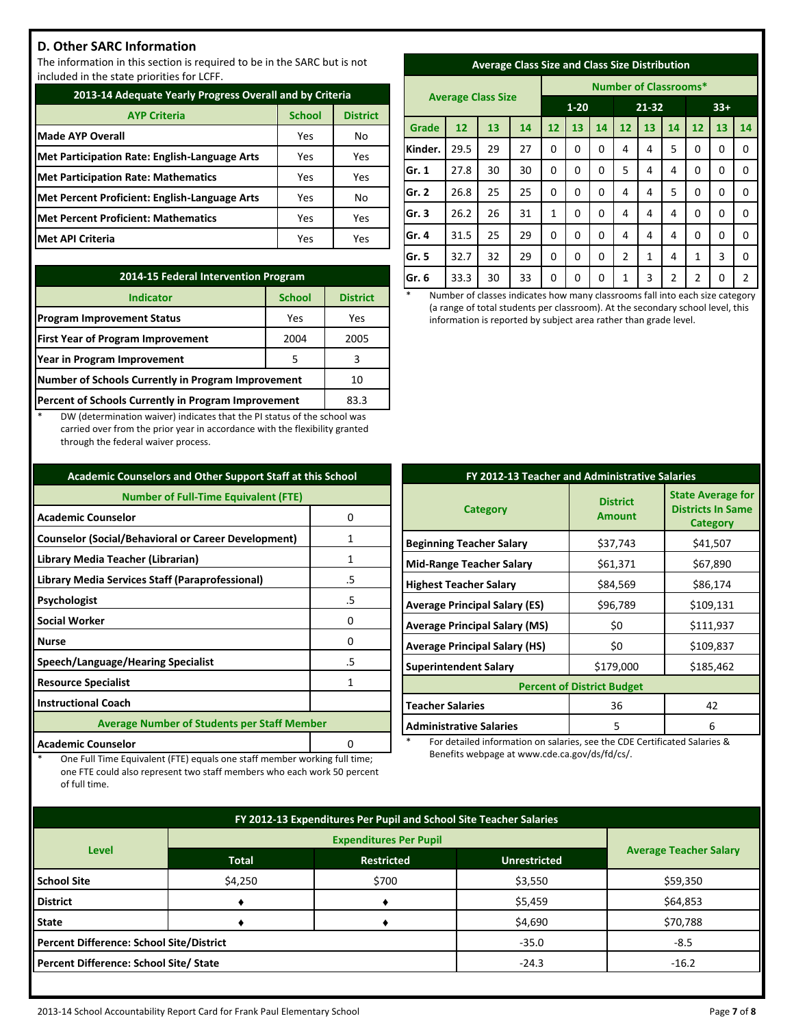# **D. Other SARC Information**

The information in this section is required to be in the SARC but is not included in the state priorities for LCFF.

| 2013-14 Adequate Yearly Progress Overall and by Criteria |               |                 |  |  |
|----------------------------------------------------------|---------------|-----------------|--|--|
| <b>AYP Criteria</b>                                      | <b>School</b> | <b>District</b> |  |  |
| <b>Made AYP Overall</b>                                  | Yes           | No              |  |  |
| <b>Met Participation Rate: English-Language Arts</b>     | Yes           | Yes             |  |  |
| <b>Met Participation Rate: Mathematics</b>               | Yes           | Yes             |  |  |
| Met Percent Proficient: English-Language Arts            | Yes           | No              |  |  |
| <b>Met Percent Proficient: Mathematics</b>               | Yes           | Yes             |  |  |
| <b>Met API Criteria</b>                                  | Yes           | Yes             |  |  |

| 2014-15 Federal Intervention Program                |                 |     |  |  |
|-----------------------------------------------------|-----------------|-----|--|--|
| <b>Indicator</b>                                    | <b>District</b> |     |  |  |
| <b>Program Improvement Status</b>                   | Yes             | Yes |  |  |
| <b>First Year of Program Improvement</b>            | 2005            |     |  |  |
| Year in Program Improvement                         | 3               |     |  |  |
| Number of Schools Currently in Program Improvement  | 10              |     |  |  |
| Percent of Schools Currently in Program Improvement | 83.3            |     |  |  |

DW (determination waiver) indicates that the PI status of the school was carried over from the prior year in accordance with the flexibility granted through the federal waiver process.

| <b>Academic Counselors and Other Support Staff at this School</b> |    |  |  |  |
|-------------------------------------------------------------------|----|--|--|--|
| <b>Number of Full-Time Equivalent (FTE)</b>                       |    |  |  |  |
| <b>Academic Counselor</b>                                         | 0  |  |  |  |
| <b>Counselor (Social/Behavioral or Career Development)</b>        | 1  |  |  |  |
| Library Media Teacher (Librarian)                                 | 1  |  |  |  |
| Library Media Services Staff (Paraprofessional)                   | .5 |  |  |  |
| Psychologist                                                      | .5 |  |  |  |
| <b>Social Worker</b>                                              | 0  |  |  |  |
| <b>Nurse</b>                                                      | n  |  |  |  |
| Speech/Language/Hearing Specialist                                | .5 |  |  |  |
| <b>Resource Specialist</b>                                        |    |  |  |  |
| <b>Instructional Coach</b>                                        |    |  |  |  |
| <b>Average Number of Students per Staff Member</b>                |    |  |  |  |
| <b>Academic Counselor</b>                                         |    |  |  |  |

One Full Time Equivalent (FTE) equals one staff member working full time; one FTE could also represent two staff members who each work 50 percent

of full time.

| <b>Average Class Size and Class Size Distribution</b> |  |  |
|-------------------------------------------------------|--|--|
|                                                       |  |  |

|         | <b>Average Class Size</b> |    |    |          | <b>Number of Classrooms*</b> |       |    |       |                |                |    |                |
|---------|---------------------------|----|----|----------|------------------------------|-------|----|-------|----------------|----------------|----|----------------|
|         |                           |    |    | $1 - 20$ |                              | 21-32 |    | $33+$ |                |                |    |                |
| Grade   | 12                        | 13 | 14 | 12       | 13                           | 14    | 12 | 13    | 14             | 12             | 13 | 14             |
| Kinder. | 29.5                      | 29 | 27 | 0        | 0                            | 0     | 4  | 4     | 5              | 0              | 0  | $\Omega$       |
| Gr. 1   | 27.8                      | 30 | 30 | 0        | 0                            | 0     | 5  | 4     | 4              | 0              | 0  | 0              |
| Gr. 2   | 26.8                      | 25 | 25 | 0        | 0                            | 0     | 4  | 4     | 5              | 0              | 0  | 0              |
| Gr. 3   | 26.2                      | 26 | 31 | 1        | 0                            | 0     | 4  | 4     | 4              | 0              | 0  | $\mathbf 0$    |
| Gr. 4   | 31.5                      | 25 | 29 | 0        | 0                            | 0     | 4  | 4     | 4              | 0              | 0  | 0              |
| Gr. 5   | 32.7                      | 32 | 29 | 0        | 0                            | 0     | 2  | 1     | 4              | 1              | 3  | 0              |
| Gr. 6   | 33.3                      | 30 | 33 | 0        | 0                            | 0     | 1  | 3     | $\overline{2}$ | $\overline{2}$ | 0  | $\overline{2}$ |

Number of classes indicates how many classrooms fall into each size category (a range of total students per classroom). At the secondary school level, this information is reported by subject area rather than grade level.

| FY 2012-13 Teacher and Administrative Salaries |                                  |                                                                  |  |  |  |
|------------------------------------------------|----------------------------------|------------------------------------------------------------------|--|--|--|
| <b>Category</b>                                | <b>District</b><br><b>Amount</b> | <b>State Average for</b><br><b>Districts In Same</b><br>Category |  |  |  |
| <b>Beginning Teacher Salary</b>                | \$37,743                         | \$41,507                                                         |  |  |  |
| <b>Mid-Range Teacher Salary</b>                | \$61,371                         | \$67,890                                                         |  |  |  |
| <b>Highest Teacher Salary</b>                  | \$84,569                         | \$86,174                                                         |  |  |  |
| <b>Average Principal Salary (ES)</b>           | \$96,789                         | \$109,131                                                        |  |  |  |
| <b>Average Principal Salary (MS)</b>           | \$0                              | \$111,937                                                        |  |  |  |
| <b>Average Principal Salary (HS)</b>           | \$0                              | \$109,837                                                        |  |  |  |
| <b>Superintendent Salary</b>                   | \$179,000                        | \$185,462                                                        |  |  |  |
| <b>Percent of District Budget</b>              |                                  |                                                                  |  |  |  |
| <b>Teacher Salaries</b>                        | 36                               | 42                                                               |  |  |  |
| <b>Administrative Salaries</b>                 | 5                                | 6                                                                |  |  |  |

For detailed information on salaries, see the CDE Certificated Salaries & Benefits webpage at www.cde.ca.gov/ds/fd/cs/.

| FY 2012-13 Expenditures Per Pupil and School Site Teacher Salaries |                               |       |         |          |  |
|--------------------------------------------------------------------|-------------------------------|-------|---------|----------|--|
|                                                                    | <b>Average Teacher Salary</b> |       |         |          |  |
| <b>Level</b>                                                       |                               |       |         |          |  |
| <b>School Site</b>                                                 | \$4,250                       | \$700 | \$3,550 | \$59,350 |  |
| <b>District</b>                                                    |                               |       | \$5,459 | \$64,853 |  |
| <b>State</b>                                                       |                               |       | \$4,690 | \$70,788 |  |
| <b>Percent Difference: School Site/District</b>                    |                               |       | $-35.0$ | $-8.5$   |  |
| Percent Difference: School Site/ State                             |                               |       | $-24.3$ | $-16.2$  |  |